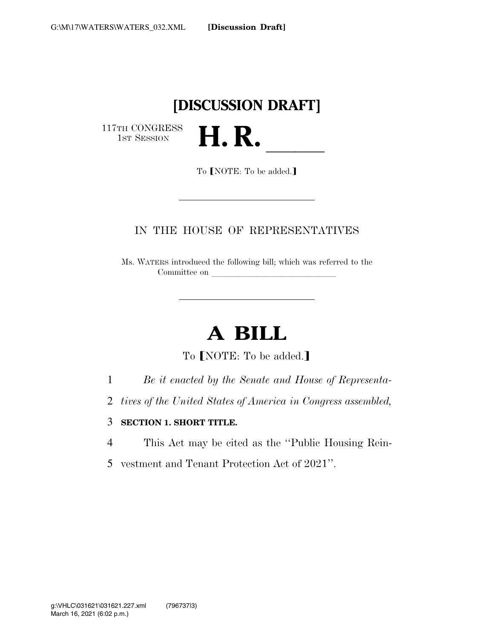## **[DISCUSSION DRAFT]**

117TH CONGRESS<br>1st Session



To [NOTE: To be added.]

### IN THE HOUSE OF REPRESENTATIVES

Ms. WATERS introduced the following bill; which was referred to the Committee on

# **A BILL**

To **[NOTE:** To be added.]

- 1 *Be it enacted by the Senate and House of Representa-*
- 2 *tives of the United States of America in Congress assembled,*

#### 3 **SECTION 1. SHORT TITLE.**

- 4 This Act may be cited as the ''Public Housing Rein-
- 5 vestment and Tenant Protection Act of 2021''.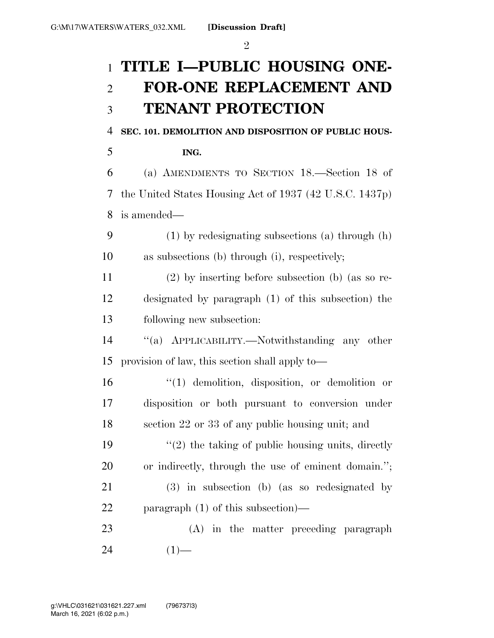$\mathfrak{D}$ 

## **TITLE I—PUBLIC HOUSING ONE- FOR-ONE REPLACEMENT AND TENANT PROTECTION**

**SEC. 101. DEMOLITION AND DISPOSITION OF PUBLIC HOUS-**

**ING.** 

 (a) AMENDMENTS TO SECTION 18.—Section 18 of the United States Housing Act of 1937 (42 U.S.C. 1437p) is amended—

 (1) by redesignating subsections (a) through (h) as subsections (b) through (i), respectively;

 (2) by inserting before subsection (b) (as so re- designated by paragraph (1) of this subsection) the following new subsection:

 ''(a) APPLICABILITY.—Notwithstanding any other provision of law, this section shall apply to—

 ''(1) demolition, disposition, or demolition or disposition or both pursuant to conversion under section 22 or 33 of any public housing unit; and

 $\frac{1}{2}$  the taking of public housing units, directly or indirectly, through the use of eminent domain.''; (3) in subsection (b) (as so redesignated by paragraph (1) of this subsection)—

 (A) in the matter preceding paragraph (1)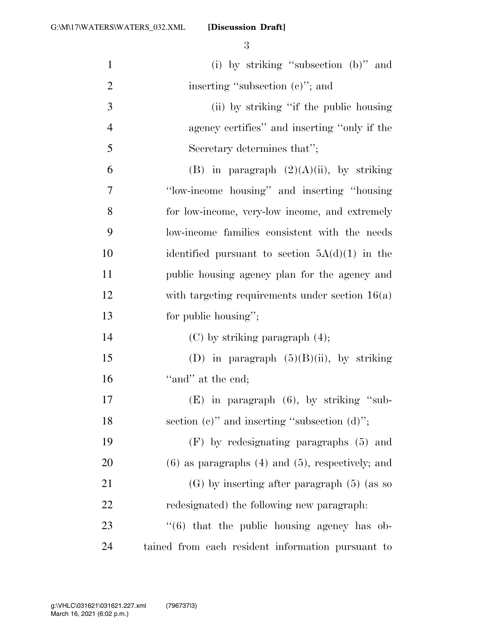| $\mathbf{1}$   | (i) by striking "subsection $(b)$ " and                 |
|----------------|---------------------------------------------------------|
| $\overline{2}$ | inserting "subsection $(e)$ "; and                      |
| 3              | (ii) by striking "if the public housing                 |
| $\overline{4}$ | agency certifies" and inserting "only if the            |
| 5              | Secretary determines that";                             |
| 6              | (B) in paragraph $(2)(A)(ii)$ , by striking             |
| $\overline{7}$ | "low-income housing" and inserting "housing             |
| 8              | for low-income, very-low income, and extremely          |
| 9              | low-income families consistent with the needs           |
| 10             | identified pursuant to section $5A(d)(1)$ in the        |
| 11             | public housing agency plan for the agency and           |
| 12             | with targeting requirements under section $16(a)$       |
| 13             | for public housing";                                    |
| 14             | $(C)$ by striking paragraph $(4)$ ;                     |
| 15             | (D) in paragraph $(5)(B)(ii)$ , by striking             |
| 16             | "and" at the end;                                       |
| 17             | (E) in paragraph (6), by striking "sub-                 |
| 18             | section (c)" and inserting "subsection $(d)$ ";         |
| 19             | (F) by redesignating paragraphs (5) and                 |
| 20             | $(6)$ as paragraphs $(4)$ and $(5)$ , respectively; and |
| 21             | $(G)$ by inserting after paragraph $(5)$ (as so         |
| 22             | redesignated) the following new paragraph.              |
| 23             | $(6)$ that the public housing agency has ob-            |
| 24             | tained from each resident information pursuant to       |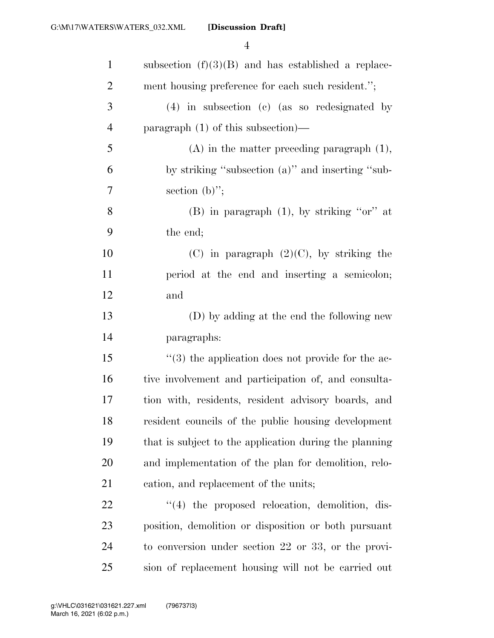| $\mathbf{1}$   | subsection $(f)(3)(B)$ and has established a replace-    |
|----------------|----------------------------------------------------------|
| $\overline{2}$ | ment housing preference for each such resident.";        |
| 3              | $(4)$ in subsection (c) (as so redesignated by           |
| $\overline{4}$ | paragraph $(1)$ of this subsection)—                     |
| 5              | $(A)$ in the matter preceding paragraph $(1)$ ,          |
| 6              | by striking "subsection (a)" and inserting "sub-         |
| 7              | section $(b)$ ";                                         |
| 8              | (B) in paragraph $(1)$ , by striking "or" at             |
| 9              | the end;                                                 |
| 10             | (C) in paragraph $(2)(C)$ , by striking the              |
| 11             | period at the end and inserting a semicolon;             |
| 12             | and                                                      |
| 13             | (D) by adding at the end the following new               |
| 14             | paragraphs:                                              |
| 15             | $(3)$ the application does not provide for the ac-       |
| 16             | tive involvement and participation of, and consulta-     |
| 17             | tion with, residents, resident advisory boards, and      |
| 18             | resident councils of the public housing development      |
| 19             | that is subject to the application during the planning   |
| 20             | and implementation of the plan for demolition, relo-     |
| 21             | cation, and replacement of the units;                    |
| 22             | $\lq(4)$ the proposed relocation, demolition, dis-       |
| 23             | position, demolition or disposition or both pursuant     |
| 24             | to conversion under section $22$ or $33$ , or the provi- |
| 25             | sion of replacement housing will not be carried out      |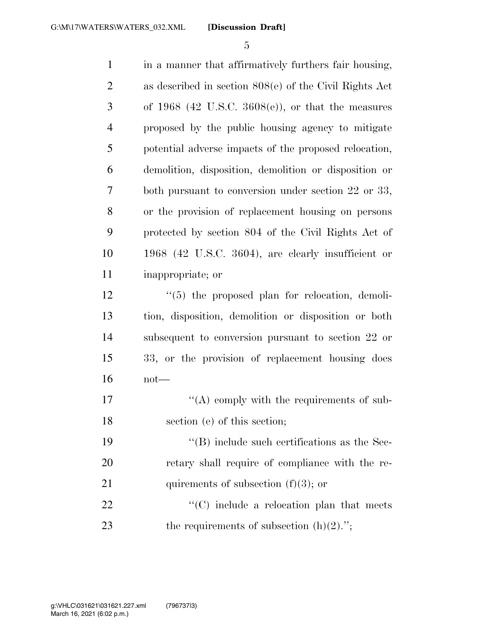| $\mathbf{1}$   | in a manner that affirmatively furthers fair housing,    |
|----------------|----------------------------------------------------------|
| $\overline{2}$ | as described in section $808(e)$ of the Civil Rights Act |
| 3              | of 1968 (42 U.S.C. 3608(e)), or that the measures        |
| $\overline{4}$ | proposed by the public housing agency to mitigate        |
| 5              | potential adverse impacts of the proposed relocation,    |
| 6              | demolition, disposition, demolition or disposition or    |
| 7              | both pursuant to conversion under section 22 or 33,      |
| 8              | or the provision of replacement housing on persons       |
| 9              | protected by section 804 of the Civil Rights Act of      |
| 10             | 1968 (42 U.S.C. 3604), are clearly insufficient or       |
| 11             | inappropriate; or                                        |
| 12             | $\lq(5)$ the proposed plan for relocation, demoli-       |
| 13             | tion, disposition, demolition or disposition or both     |
| 14             | subsequent to conversion pursuant to section 22 or       |
| 15             | 33, or the provision of replacement housing does         |
| 16             | $not$ —                                                  |
| 17             | "(A) comply with the requirements of sub-                |
| 18             | section (e) of this section;                             |
| 19             | $\cdot$ (B) include such certifications as the Sec-      |
| 20             | retary shall require of compliance with the re-          |
| 21             | quirements of subsection $(f)(3)$ ; or                   |
| 22             | $\cdot$ (C) include a relocation plan that meets         |
| 23             | the requirements of subsection $(h)(2)$ .";              |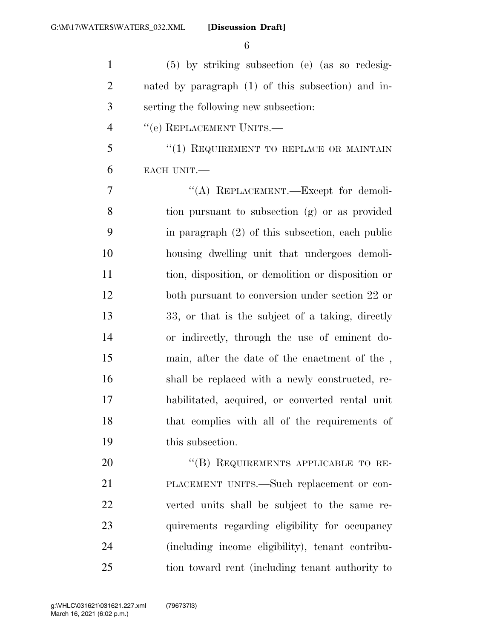(5) by striking subsection (e) (as so redesig- nated by paragraph (1) of this subsection) and in- serting the following new subsection: 4 "(e) REPLACEMENT UNITS.— 5 "(1) REQUIREMENT TO REPLACE OR MAINTAIN EACH UNIT.— 7 "(A) REPLACEMENT.—Except for demoli- tion pursuant to subsection (g) or as provided in paragraph (2) of this subsection, each public housing dwelling unit that undergoes demoli- tion, disposition, or demolition or disposition or both pursuant to conversion under section 22 or 33, or that is the subject of a taking, directly or indirectly, through the use of eminent do- main, after the date of the enactment of the , shall be replaced with a newly constructed, re- habilitated, acquired, or converted rental unit that complies with all of the requirements of this subsection. 20 "(B) REQUIREMENTS APPLICABLE TO RE- PLACEMENT UNITS.—Such replacement or con-verted units shall be subject to the same re-

 quirements regarding eligibility for occupancy (including income eligibility), tenant contribu-tion toward rent (including tenant authority to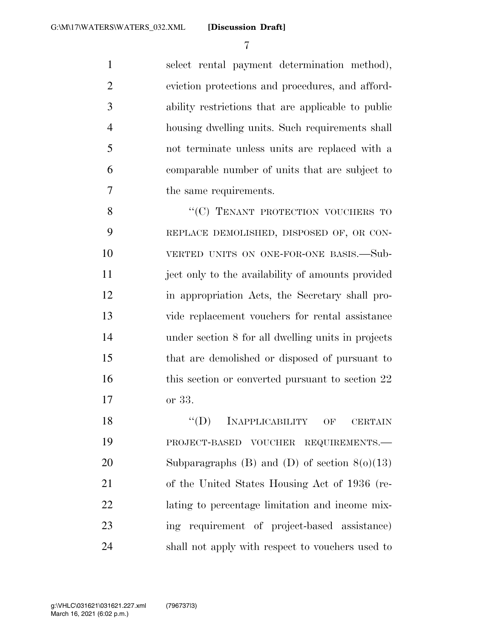select rental payment determination method), eviction protections and procedures, and afford- ability restrictions that are applicable to public housing dwelling units. Such requirements shall not terminate unless units are replaced with a comparable number of units that are subject to the same requirements.

8 "(C) TENANT PROTECTION VOUCHERS TO REPLACE DEMOLISHED, DISPOSED OF, OR CON- VERTED UNITS ON ONE-FOR-ONE BASIS.—Sub-11 ject only to the availability of amounts provided in appropriation Acts, the Secretary shall pro- vide replacement vouchers for rental assistance under section 8 for all dwelling units in projects that are demolished or disposed of pursuant to 16 this section or converted pursuant to section 22 or 33.

18 "(D) INAPPLICABILITY OF CERTAIN PROJECT-BASED VOUCHER REQUIREMENTS.— 20 Subparagraphs (B) and (D) of section  $8(0)(13)$  of the United States Housing Act of 1936 (re- lating to percentage limitation and income mix- ing requirement of project-based assistance) shall not apply with respect to vouchers used to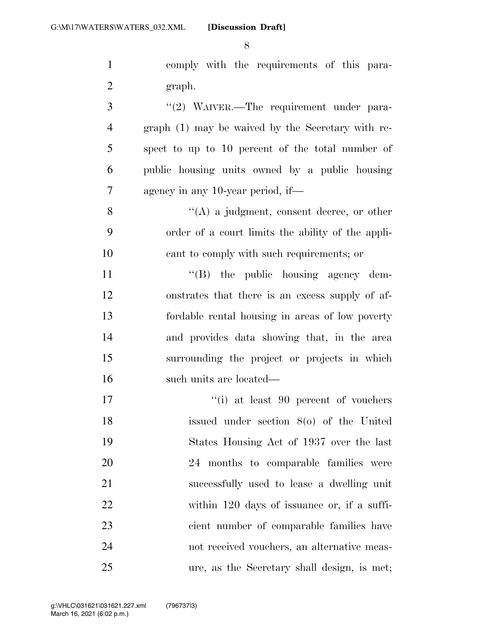comply with the requirements of this para- graph. 3 "(2) WAIVER.—The requirement under para- graph (1) may be waived by the Secretary with re- spect to up to 10 percent of the total number of public housing units owned by a public housing agency in any 10-year period, if—

8 ''(A) a judgment, consent decree, or other order of a court limits the ability of the appli-cant to comply with such requirements; or

 $\text{``(B)}$  the public housing agency dem- onstrates that there is an excess supply of af- fordable rental housing in areas of low poverty and provides data showing that, in the area surrounding the project or projects in which such units are located—

17 ''(i) at least 90 percent of vouchers issued under section 8(o) of the United States Housing Act of 1937 over the last 24 months to comparable families were successfully used to lease a dwelling unit within 120 days of issuance or, if a suffi- cient number of comparable families have not received vouchers, an alternative meas-ure, as the Secretary shall design, is met;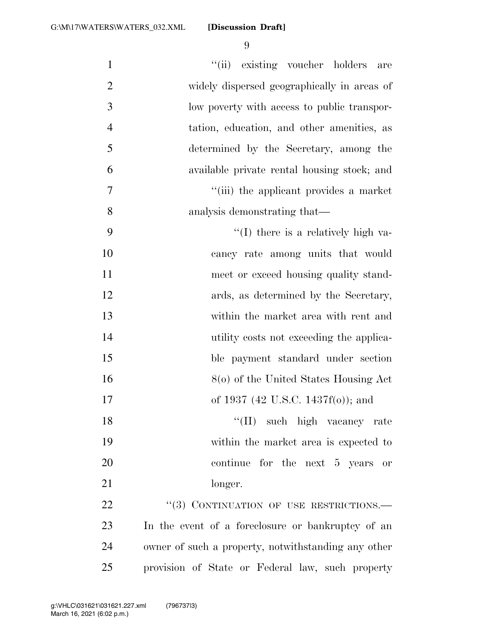| $\mathbf{1}$   | "(ii) existing voucher holders are                  |
|----------------|-----------------------------------------------------|
| $\overline{2}$ | widely dispersed geographically in areas of         |
| 3              | low poverty with access to public transpor-         |
| $\overline{4}$ | tation, education, and other amenities, as          |
| 5              | determined by the Secretary, among the              |
| 6              | available private rental housing stock; and         |
| 7              | "(iii) the applicant provides a market              |
| 8              | analysis demonstrating that—                        |
| 9              | "(I) there is a relatively high va-                 |
| 10             | cancy rate among units that would                   |
| 11             | meet or exceed housing quality stand-               |
| 12             | ards, as determined by the Secretary,               |
| 13             | within the market area with rent and                |
| 14             | utility costs not exceeding the applica-            |
| 15             | ble payment standard under section                  |
| 16             | 8(o) of the United States Housing Act               |
| 17             | of 1937 (42 U.S.C. 1437f(o)); and                   |
| 18             | "(II) such high vacancy rate                        |
| 19             | within the market area is expected to               |
| 20             | continue for the next 5 years or                    |
| 21             | longer.                                             |
| 22             | "(3) CONTINUATION OF USE RESTRICTIONS.              |
| 23             | In the event of a foreclosure or bankruptcy of an   |
| 24             | owner of such a property, notwithstanding any other |
| 25             | provision of State or Federal law, such property    |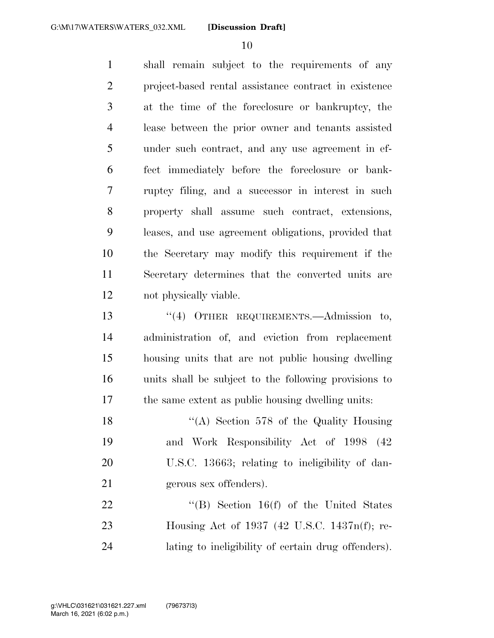shall remain subject to the requirements of any project-based rental assistance contract in existence at the time of the foreclosure or bankruptcy, the lease between the prior owner and tenants assisted under such contract, and any use agreement in ef- fect immediately before the foreclosure or bank- ruptcy filing, and a successor in interest in such property shall assume such contract, extensions, leases, and use agreement obligations, provided that the Secretary may modify this requirement if the Secretary determines that the converted units are not physically viable.

 ''(4) OTHER REQUIREMENTS.—Admission to, administration of, and eviction from replacement housing units that are not public housing dwelling units shall be subject to the following provisions to the same extent as public housing dwelling units:

18 "(A) Section 578 of the Quality Housing and Work Responsibility Act of 1998 (42 U.S.C. 13663; relating to ineligibility of dan-gerous sex offenders).

22 "'(B) Section 16(f) of the United States Housing Act of 1937 (42 U.S.C. 1437n(f); re-lating to ineligibility of certain drug offenders).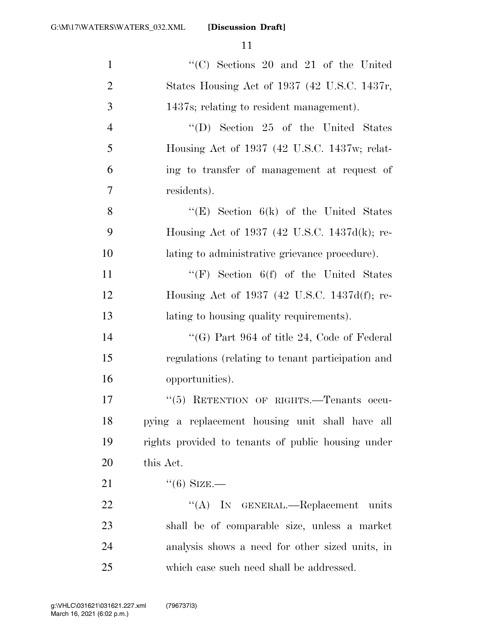| $\mathbf{1}$   | $"$ (C) Sections 20 and 21 of the United           |
|----------------|----------------------------------------------------|
| $\overline{2}$ | States Housing Act of 1937 (42 U.S.C. 1437r,       |
| 3              | 1437s; relating to resident management).           |
| $\overline{4}$ | $\lq\lq$ (D) Section 25 of the United States       |
| 5              | Housing Act of 1937 (42 U.S.C. 1437w; relat-       |
| 6              | ing to transfer of management at request of        |
| 7              | residents).                                        |
| 8              | "(E) Section $6(k)$ of the United States           |
| 9              | Housing Act of 1937 (42 U.S.C. 1437d(k); re-       |
| 10             | lating to administrative grievance procedure).     |
| 11             | "(F) Section $6(f)$ of the United States           |
| 12             | Housing Act of 1937 (42 U.S.C. 1437d(f); re-       |
| 13             | lating to housing quality requirements).           |
| 14             | "(G) Part 964 of title 24, Code of Federal         |
| 15             | regulations (relating to tenant participation and  |
| 16             | opportunities).                                    |
| 17             | "(5) RETENTION OF RIGHTS.—Tenants occu-            |
| 18             | pying a replacement housing unit shall have all    |
| 19             | rights provided to tenants of public housing under |
| 20             | this Act.                                          |
| 21             | $\lq(6)$ SIZE.—                                    |
| 22             | "(A) IN GENERAL.—Replacement units                 |
| 23             | shall be of comparable size, unless a market       |
| 24             | analysis shows a need for other sized units, in    |
| 25             | which case such need shall be addressed.           |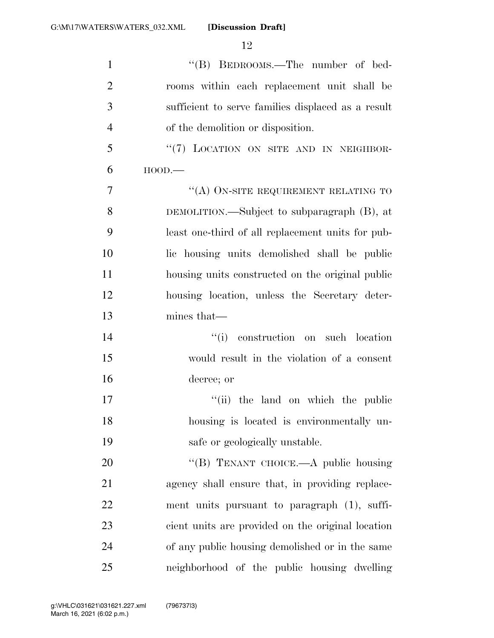| $\mathbf{1}$   | "(B) BEDROOMS.—The number of bed-                  |
|----------------|----------------------------------------------------|
| $\overline{2}$ | rooms within each replacement unit shall be        |
| 3              | sufficient to serve families displaced as a result |
| $\overline{4}$ | of the demolition or disposition.                  |
| 5              | "(7) LOCATION ON SITE AND IN NEIGHBOR-             |
| 6              | $HOOD$ .                                           |
| 7              | "(A) ON-SITE REQUIREMENT RELATING TO               |
| 8              | DEMOLITION.—Subject to subparagraph (B), at        |
| 9              | least one-third of all replacement units for pub-  |
| 10             | lic housing units demolished shall be public       |
| 11             | housing units constructed on the original public   |
| 12             | housing location, unless the Secretary deter-      |
| 13             | mines that—                                        |
| 14             | construction on such location<br>``(i)             |
| 15             | would result in the violation of a consent         |
| 16             | decree; or                                         |
| 17             | "(ii) the land on which the public                 |
| 18             | housing is located is environmentally un-          |
| 19             | safe or geologically unstable.                     |
| 20             | "(B) TENANT CHOICE.—A public housing               |
| 21             | agency shall ensure that, in providing replace-    |
| 22             | ment units pursuant to paragraph (1), suffi-       |
| 23             | cient units are provided on the original location  |
| 24             | of any public housing demolished or in the same    |
| 25             | neighborhood of the public housing dwelling        |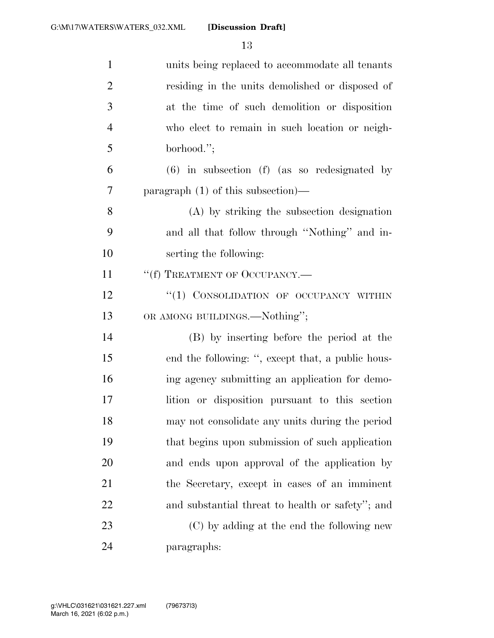| $\mathbf{1}$   | units being replaced to accommodate all tenants   |
|----------------|---------------------------------------------------|
| $\overline{2}$ | residing in the units demolished or disposed of   |
| 3              | at the time of such demolition or disposition     |
| $\overline{4}$ | who elect to remain in such location or neigh-    |
| 5              | borhood.";                                        |
| 6              | $(6)$ in subsection $(f)$ (as so redesignated by  |
| 7              | paragraph (1) of this subsection)—                |
| 8              | (A) by striking the subsection designation        |
| 9              | and all that follow through "Nothing" and in-     |
| 10             | serting the following:                            |
| 11             | "(f) TREATMENT OF OCCUPANCY.-                     |
| 12             | "(1) CONSOLIDATION OF OCCUPANCY WITHIN            |
| 13             | OR AMONG BUILDINGS.—Nothing";                     |
| 14             | (B) by inserting before the period at the         |
| 15             | end the following: ", except that, a public hous- |
| 16             | ing agency submitting an application for demo-    |
| 17             | lition or disposition pursuant to this section    |
| 18             | may not consolidate any units during the period   |
| 19             | that begins upon submission of such application   |
| 20             | and ends upon approval of the application by      |
| 21             | the Secretary, except in cases of an imminent     |
| 22             | and substantial threat to health or safety''; and |
| 23             | (C) by adding at the end the following new        |
| 24             | paragraphs:                                       |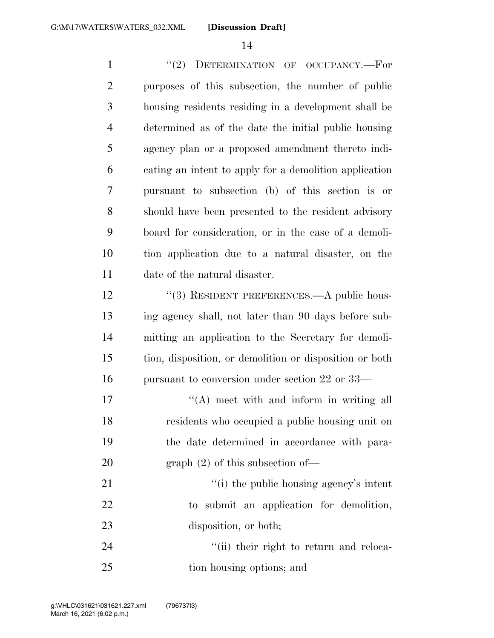1 "(2) DETERMINATION OF OCCUPANCY.—For purposes of this subsection, the number of public housing residents residing in a development shall be determined as of the date the initial public housing agency plan or a proposed amendment thereto indi- cating an intent to apply for a demolition application pursuant to subsection (b) of this section is or should have been presented to the resident advisory board for consideration, or in the case of a demoli- tion application due to a natural disaster, on the date of the natural disaster. 12 "(3) RESIDENT PREFERENCES.—A public hous- ing agency shall, not later than 90 days before sub- mitting an application to the Secretary for demoli- tion, disposition, or demolition or disposition or both pursuant to conversion under section 22 or 33— 17 ''(A) meet with and inform in writing all residents who occupied a public housing unit on the date determined in accordance with para-20 graph (2) of this subsection of —  $\frac{1}{2}$   $\frac{1}{2}$   $\frac{1}{2}$  the public housing agency's intent

 to submit an application for demolition, 23 disposition, or both;

24 ''(ii) their right to return and reloca-tion housing options; and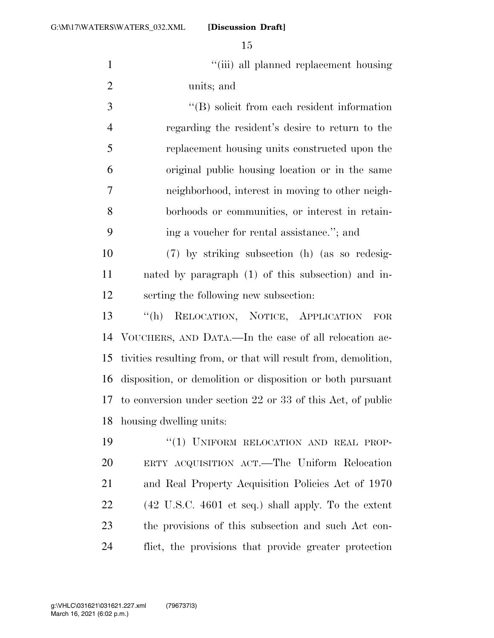1 ''(iii) all planned replacement housing units; and

 ''(B) solicit from each resident information regarding the resident's desire to return to the replacement housing units constructed upon the original public housing location or in the same neighborhood, interest in moving to other neigh- borhoods or communities, or interest in retain-ing a voucher for rental assistance.''; and

 (7) by striking subsection (h) (as so redesig- nated by paragraph (1) of this subsection) and in-serting the following new subsection:

 ''(h) RELOCATION, NOTICE, APPLICATION FOR VOUCHERS, AND DATA.—In the case of all relocation ac- tivities resulting from, or that will result from, demolition, disposition, or demolition or disposition or both pursuant to conversion under section 22 or 33 of this Act, of public housing dwelling units:

19 "(1) UNIFORM RELOCATION AND REAL PROP- ERTY ACQUISITION ACT.—The Uniform Relocation and Real Property Acquisition Policies Act of 1970 (42 U.S.C. 4601 et seq.) shall apply. To the extent the provisions of this subsection and such Act con-flict, the provisions that provide greater protection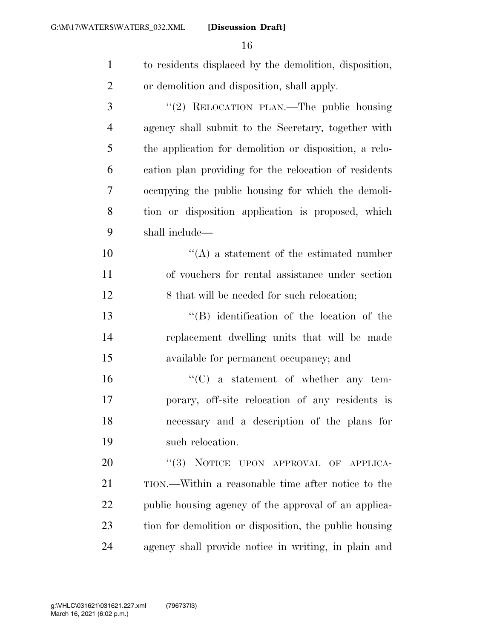| $\mathbf{1}$   | to residents displaced by the demolition, disposition, |
|----------------|--------------------------------------------------------|
| $\overline{2}$ | or demolition and disposition, shall apply.            |
| 3              | "(2) RELOCATION PLAN.—The public housing               |
| $\overline{4}$ | agency shall submit to the Secretary, together with    |
| 5              | the application for demolition or disposition, a relo- |
| 6              | cation plan providing for the relocation of residents  |
| 7              | occupying the public housing for which the demoli-     |
| 8              | tion or disposition application is proposed, which     |
| 9              | shall include—                                         |
| 10             | $\lq\lq$ a statement of the estimated number           |
| 11             | of vouchers for rental assistance under section        |
| 12             | 8 that will be needed for such relocation;             |
| 13             | "(B) identification of the location of the             |
| 14             | replacement dwelling units that will be made           |
| 15             | available for permanent occupancy; and                 |
| 16             | $\lq\lq$ (C) a statement of whether any tem-           |
| 17             | porary, off-site relocation of any residents is        |
| 18             | necessary and a description of the plans for           |
| 19             | such relocation.                                       |
| 20             | "(3) NOTICE UPON APPROVAL OF APPLICA-                  |
| 21             | TION.—Within a reasonable time after notice to the     |
| 22             | public housing agency of the approval of an applica-   |
| 23             | tion for demolition or disposition, the public housing |
| 24             | agency shall provide notice in writing, in plain and   |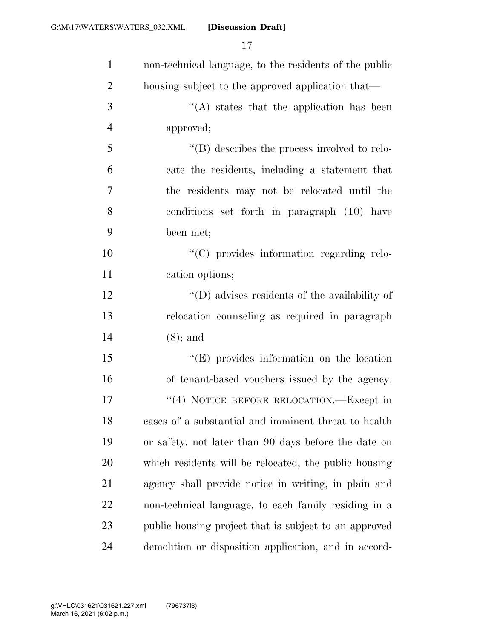| $\mathbf{1}$   | non-technical language, to the residents of the public |
|----------------|--------------------------------------------------------|
| $\overline{2}$ | housing subject to the approved application that—      |
| 3              | $\lq\lq$ states that the application has been          |
| $\overline{4}$ | approved;                                              |
| 5              | $\lq\lq$ describes the process involved to relo-       |
| 6              | cate the residents, including a statement that         |
| 7              | the residents may not be relocated until the           |
| 8              | conditions set forth in paragraph (10) have            |
| 9              | been met;                                              |
| 10             | "(C) provides information regarding relo-              |
| 11             | cation options;                                        |
| 12             | $\lq\lq$ (D) advises residents of the availability of  |
| 13             | relocation counseling as required in paragraph         |
| 14             | $(8)$ ; and                                            |
| 15             | $\lq\lq(E)$ provides information on the location       |
| 16             | of tenant-based vouchers issued by the agency.         |
| 17             | "(4) NOTICE BEFORE RELOCATION.—Except in               |
| 18             | cases of a substantial and imminent threat to health   |
| 19             | or safety, not later than 90 days before the date on   |
| 20             | which residents will be relocated, the public housing  |
| 21             | agency shall provide notice in writing, in plain and   |
| 22             | non-technical language, to each family residing in a   |
| 23             | public housing project that is subject to an approved  |
| 24             | demolition or disposition application, and in accord-  |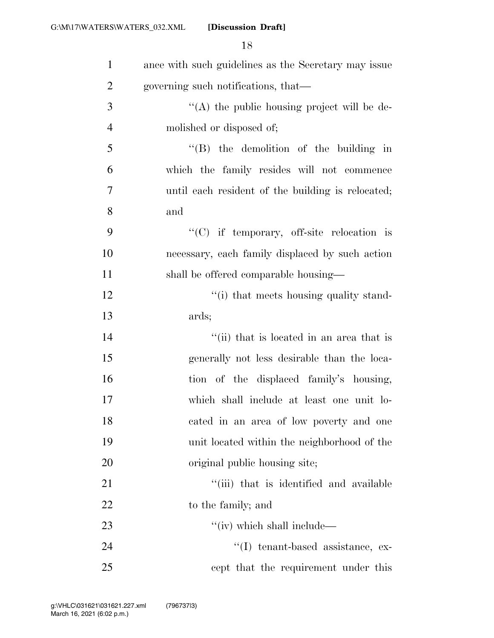| $\mathbf{1}$   | ance with such guidelines as the Secretary may issue |
|----------------|------------------------------------------------------|
| $\overline{2}$ | governing such notifications, that—                  |
| 3              | "(A) the public housing project will be de-          |
| $\overline{4}$ | molished or disposed of;                             |
| 5              | $\lq\lq$ (B) the demolition of the building in       |
| 6              | which the family resides will not commence           |
| 7              | until each resident of the building is relocated;    |
| 8              | and                                                  |
| 9              | $\lq\lq$ (C) if temporary, off-site relocation is    |
| 10             | necessary, each family displaced by such action      |
| 11             | shall be offered comparable housing—                 |
| 12             | "(i) that meets housing quality stand-               |
| 13             | ards;                                                |
| 14             | "(ii) that is located in an area that is             |
| 15             | generally not less desirable than the loca-          |
| 16             | tion of the displaced family's housing,              |
| 17             | which shall include at least one unit lo-            |
| 18             | cated in an area of low poverty and one              |
| 19             | unit located within the neighborhood of the          |
| 20             | original public housing site;                        |
| 21             | "(iii) that is identified and available              |
| 22             | to the family; and                                   |
| 23             | "(iv) which shall include—                           |
| 24             | $\lq$ (I) tenant-based assistance, ex-               |
| 25             | cept that the requirement under this                 |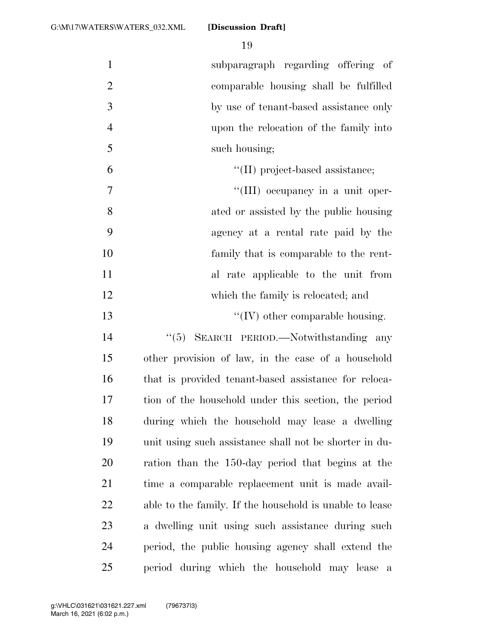subparagraph regarding offering of comparable housing shall be fulfilled by use of tenant-based assistance only upon the relocation of the family into such housing;  $\text{``(II) project-based assistance:}$  $\frac{1}{11}$  occupancy in a unit oper- ated or assisted by the public housing agency at a rental rate paid by the family that is comparable to the rent- al rate applicable to the unit from 12 which the family is relocated; and  $\frac{1}{2}$  TV other comparable housing. 14 "(5) SEARCH PERIOD.—Notwithstanding any other provision of law, in the case of a household that is provided tenant-based assistance for reloca- tion of the household under this section, the period during which the household may lease a dwelling unit using such assistance shall not be shorter in du- ration than the 150-day period that begins at the time a comparable replacement unit is made avail- able to the family. If the household is unable to lease a dwelling unit using such assistance during such period, the public housing agency shall extend the

period during which the household may lease a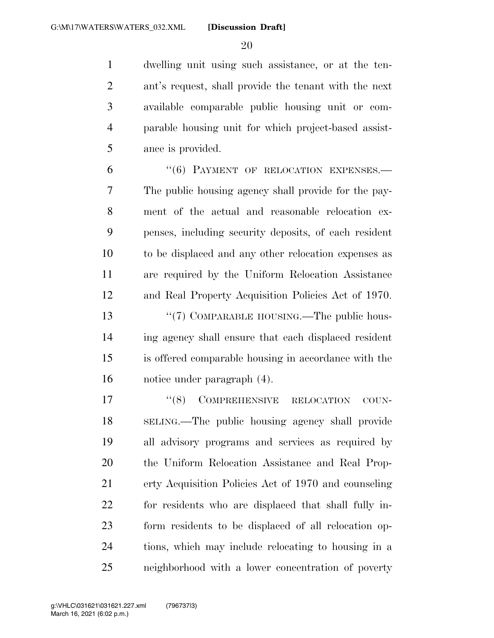dwelling unit using such assistance, or at the ten- ant's request, shall provide the tenant with the next available comparable public housing unit or com- parable housing unit for which project-based assist-ance is provided.

6 "(6) PAYMENT OF RELOCATION EXPENSES. The public housing agency shall provide for the pay- ment of the actual and reasonable relocation ex- penses, including security deposits, of each resident to be displaced and any other relocation expenses as are required by the Uniform Relocation Assistance and Real Property Acquisition Policies Act of 1970. 13 "(7) COMPARABLE HOUSING.—The public hous- ing agency shall ensure that each displaced resident is offered comparable housing in accordance with the notice under paragraph (4).

 $(8)$  COMPREHENSIVE RELOCATION COUN- SELING.—The public housing agency shall provide all advisory programs and services as required by the Uniform Relocation Assistance and Real Prop- erty Acquisition Policies Act of 1970 and counseling for residents who are displaced that shall fully in- form residents to be displaced of all relocation op- tions, which may include relocating to housing in a neighborhood with a lower concentration of poverty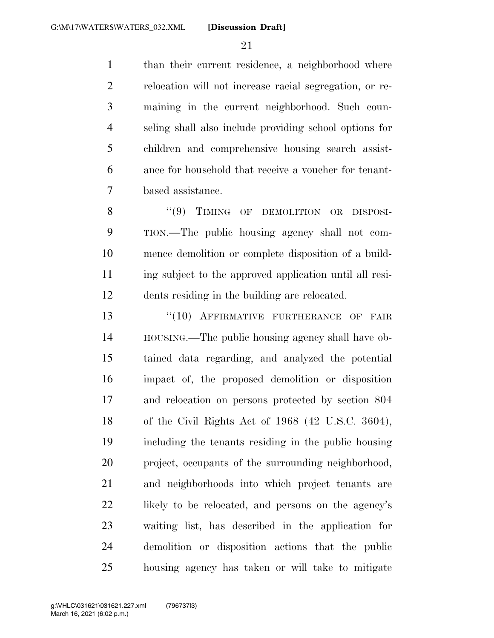than their current residence, a neighborhood where relocation will not increase racial segregation, or re- maining in the current neighborhood. Such coun- seling shall also include providing school options for children and comprehensive housing search assist- ance for household that receive a voucher for tenant-based assistance.

8 "(9) TIMING OF DEMOLITION OR DISPOSI- TION.—The public housing agency shall not com- mence demolition or complete disposition of a build- ing subject to the approved application until all resi-dents residing in the building are relocated.

13 "(10) AFFIRMATIVE FURTHERANCE OF FAIR HOUSING.—The public housing agency shall have ob- tained data regarding, and analyzed the potential impact of, the proposed demolition or disposition and relocation on persons protected by section 804 of the Civil Rights Act of 1968 (42 U.S.C. 3604), including the tenants residing in the public housing project, occupants of the surrounding neighborhood, and neighborhoods into which project tenants are 22 likely to be relocated, and persons on the agency's waiting list, has described in the application for demolition or disposition actions that the public housing agency has taken or will take to mitigate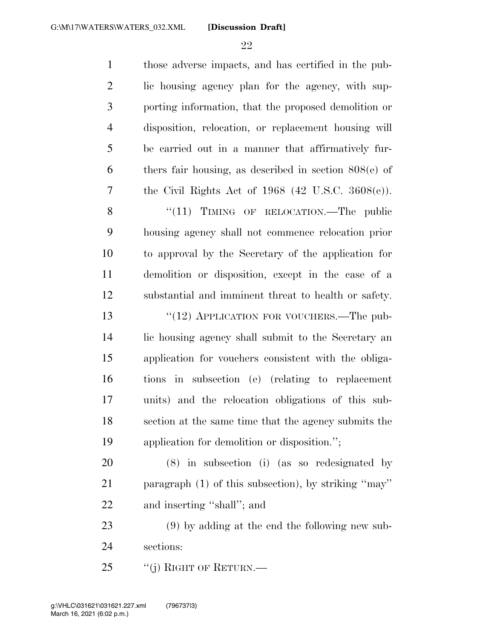| $\mathbf{1}$   | those adverse impacts, and has certified in the pub-    |
|----------------|---------------------------------------------------------|
| $\overline{2}$ | lic housing agency plan for the agency, with sup-       |
| $\mathfrak{Z}$ | porting information, that the proposed demolition or    |
| $\overline{4}$ | disposition, relocation, or replacement housing will    |
| 5              | be carried out in a manner that affirmatively fur-      |
| 6              | thers fair housing, as described in section $808(e)$ of |
| 7              | the Civil Rights Act of $1968$ (42 U.S.C. $3608(e)$ ).  |
| 8              | " $(11)$ TIMING OF RELOCATION.—The public               |
| 9              | housing agency shall not commence relocation prior      |
| 10             | to approval by the Secretary of the application for     |
| 11             | demolition or disposition, except in the case of a      |
| 12             | substantial and imminent threat to health or safety.    |
| 13             | " $(12)$ APPLICATION FOR VOUCHERS.—The pub-             |
| 14             | lic housing agency shall submit to the Secretary an     |
| 15             | application for vouchers consistent with the obliga-    |
| 16             | in subsection (e) (relating to replacement<br>tions     |
| 17             | units) and the relocation obligations of this sub-      |
| 18             | section at the same time that the agency submits the    |
| 19             | application for demolition or disposition.";            |
| 20             | (8) in subsection (i) (as so redesignated by            |
| 21             | paragraph (1) of this subsection), by striking "may"    |
| 22             | and inserting "shall"; and                              |
| 23             | $(9)$ by adding at the end the following new sub-       |
| 24             | sections:                                               |
| 25             | "(j) RIGHT OF RETURN.—                                  |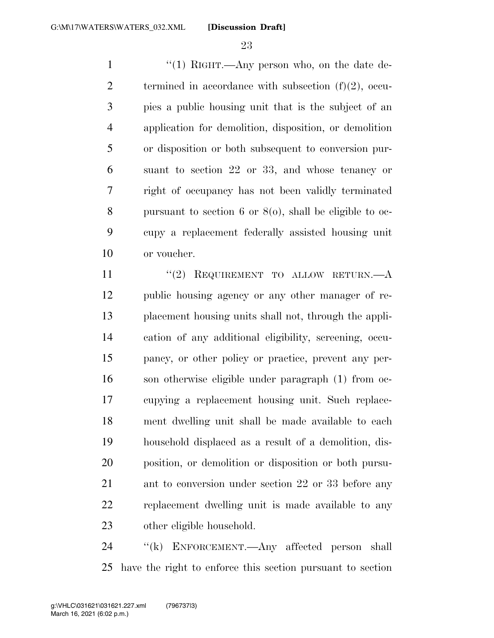1 ''(1) RIGHT.—Any person who, on the date de-2 termined in accordance with subsection  $(f)(2)$ , occu- pies a public housing unit that is the subject of an application for demolition, disposition, or demolition or disposition or both subsequent to conversion pur- suant to section 22 or 33, and whose tenancy or right of occupancy has not been validly terminated pursuant to section 6 or 8(o), shall be eligible to oc- cupy a replacement federally assisted housing unit or voucher.

11 ''(2) REQUIREMENT TO ALLOW RETURN.—A public housing agency or any other manager of re- placement housing units shall not, through the appli- cation of any additional eligibility, screening, occu- pancy, or other policy or practice, prevent any per- son otherwise eligible under paragraph (1) from oc- cupying a replacement housing unit. Such replace- ment dwelling unit shall be made available to each household displaced as a result of a demolition, dis- position, or demolition or disposition or both pursu- ant to conversion under section 22 or 33 before any replacement dwelling unit is made available to any other eligible household.

24 "(k) ENFORCEMENT.—Any affected person shall have the right to enforce this section pursuant to section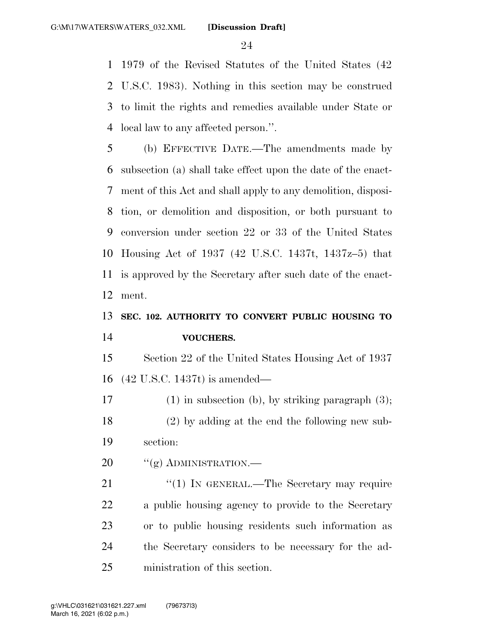1979 of the Revised Statutes of the United States (42 U.S.C. 1983). Nothing in this section may be construed to limit the rights and remedies available under State or local law to any affected person.''.

 (b) EFFECTIVE DATE.—The amendments made by subsection (a) shall take effect upon the date of the enact- ment of this Act and shall apply to any demolition, disposi- tion, or demolition and disposition, or both pursuant to conversion under section 22 or 33 of the United States Housing Act of 1937 (42 U.S.C. 1437t, 1437z–5) that is approved by the Secretary after such date of the enact-ment.

### **SEC. 102. AUTHORITY TO CONVERT PUBLIC HOUSING TO VOUCHERS.**

 Section 22 of the United States Housing Act of 1937 (42 U.S.C. 1437t) is amended—

 (1) in subsection (b), by striking paragraph (3); (2) by adding at the end the following new sub-section:

20 "(g) ADMINISTRATION.—

21 "(1) IN GENERAL.—The Secretary may require a public housing agency to provide to the Secretary or to public housing residents such information as the Secretary considers to be necessary for the ad-ministration of this section.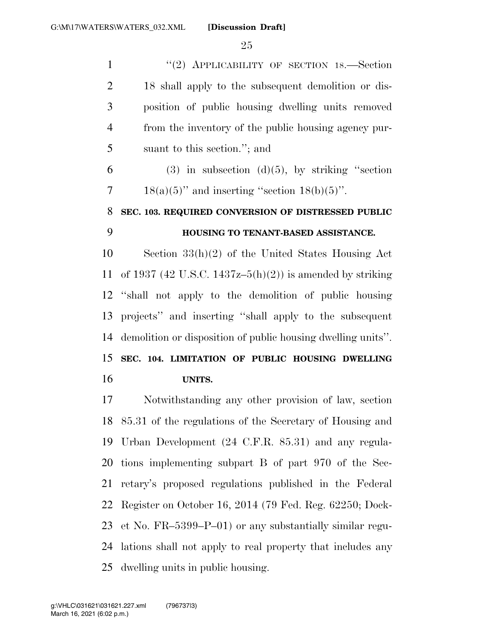1 "(2) APPLICABILITY OF SECTION 18. Section 18 shall apply to the subsequent demolition or dis- position of public housing dwelling units removed from the inventory of the public housing agency pur-suant to this section.''; and

 (3) in subsection (d)(5), by striking "section 7 18(a)(5)" and inserting "section  $18(b)(5)$ ".

### **SEC. 103. REQUIRED CONVERSION OF DISTRESSED PUBLIC HOUSING TO TENANT-BASED ASSISTANCE.**

 Section 33(h)(2) of the United States Housing Act 11 of 1937 (42 U.S.C. 1437z–5(h)(2)) is amended by striking ''shall not apply to the demolition of public housing projects'' and inserting ''shall apply to the subsequent demolition or disposition of public housing dwelling units''.

### **SEC. 104. LIMITATION OF PUBLIC HOUSING DWELLING UNITS.**

 Notwithstanding any other provision of law, section 85.31 of the regulations of the Secretary of Housing and Urban Development (24 C.F.R. 85.31) and any regula- tions implementing subpart B of part 970 of the Sec- retary's proposed regulations published in the Federal Register on October 16, 2014 (79 Fed. Reg. 62250; Dock- et No. FR–5399–P–01) or any substantially similar regu- lations shall not apply to real property that includes any dwelling units in public housing.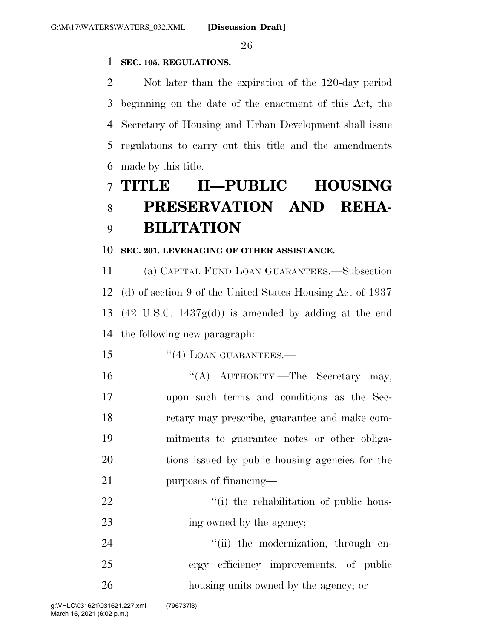#### **SEC. 105. REGULATIONS.**

 Not later than the expiration of the 120-day period beginning on the date of the enactment of this Act, the Secretary of Housing and Urban Development shall issue regulations to carry out this title and the amendments made by this title.

## **TITLE II—PUBLIC HOUSING PRESERVATION AND REHA-BILITATION**

#### **SEC. 201. LEVERAGING OF OTHER ASSISTANCE.**

 (a) CAPITAL FUND LOAN GUARANTEES.—Subsection (d) of section 9 of the United States Housing Act of 1937 (42 U.S.C. 1437g(d)) is amended by adding at the end the following new paragraph:

- 15 "(4) LOAN GUARANTEES.—
- 16 "(A) AUTHORITY.—The Secretary may, upon such terms and conditions as the Sec- retary may prescribe, guarantee and make com- mitments to guarantee notes or other obliga- tions issued by public housing agencies for the purposes of financing—
- 22  $\frac{1}{2}$   $\frac{1}{2}$   $\frac{1}{2}$  the rehabilitation of public hous-23 ing owned by the agency;

24  $(iii)$  the modernization, through en- ergy efficiency improvements, of public housing units owned by the agency; or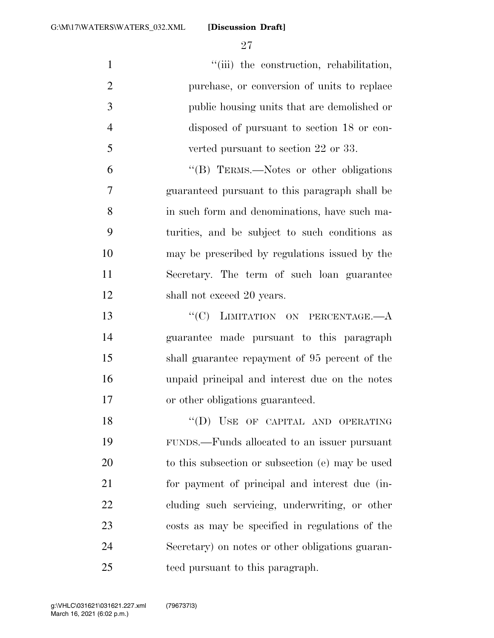$"$ (iii) the construction, rehabilitation, purchase, or conversion of units to replace public housing units that are demolished or disposed of pursuant to section 18 or con- verted pursuant to section 22 or 33. ''(B) TERMS.—Notes or other obligations guaranteed pursuant to this paragraph shall be in such form and denominations, have such ma- turities, and be subject to such conditions as may be prescribed by regulations issued by the Secretary. The term of such loan guarantee 12 shall not exceed 20 years.

13 "'(C) LIMITATION ON PERCENTAGE.—A guarantee made pursuant to this paragraph shall guarantee repayment of 95 percent of the unpaid principal and interest due on the notes or other obligations guaranteed.

18 "(D) USE OF CAPITAL AND OPERATING FUNDS.—Funds allocated to an issuer pursuant to this subsection or subsection (e) may be used for payment of principal and interest due (in- cluding such servicing, underwriting, or other costs as may be specified in regulations of the Secretary) on notes or other obligations guaran-teed pursuant to this paragraph.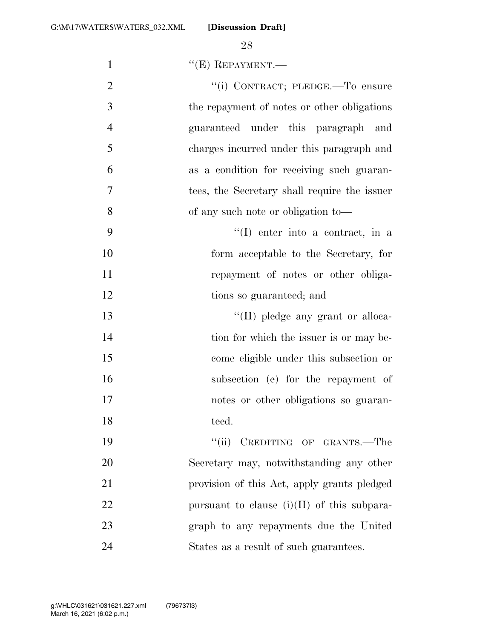1  $"({\bf E})$  REPAYMENT.—

| $\overline{2}$ | "(i) CONTRACT; PLEDGE.-To ensure              |
|----------------|-----------------------------------------------|
| 3              | the repayment of notes or other obligations   |
| $\overline{4}$ | guaranteed under this paragraph and           |
| 5              | charges incurred under this paragraph and     |
| 6              | as a condition for receiving such guaran-     |
| 7              | tees, the Secretary shall require the issuer  |
| 8              | of any such note or obligation to—            |
| 9              | $\lq(1)$ enter into a contract, in a          |
| 10             | form acceptable to the Secretary, for         |
| 11             | repayment of notes or other obliga-           |
| 12             | tions so guaranteed; and                      |
| 13             | "(II) pledge any grant or alloca-             |
| 14             | tion for which the issuer is or may be-       |
| 15             | come eligible under this subsection or        |
| 16             | subsection (e) for the repayment of           |
| 17             | notes or other obligations so guaran-         |
| 18             | teed.                                         |
| 19             | "(ii) CREDITING OF GRANTS.—The                |
| 20             | Secretary may, notwithstanding any other      |
| 21             | provision of this Act, apply grants pledged   |
| 22             | pursuant to clause $(i)(II)$ of this subpara- |
| 23             | graph to any repayments due the United        |
| 24             | States as a result of such guarantees.        |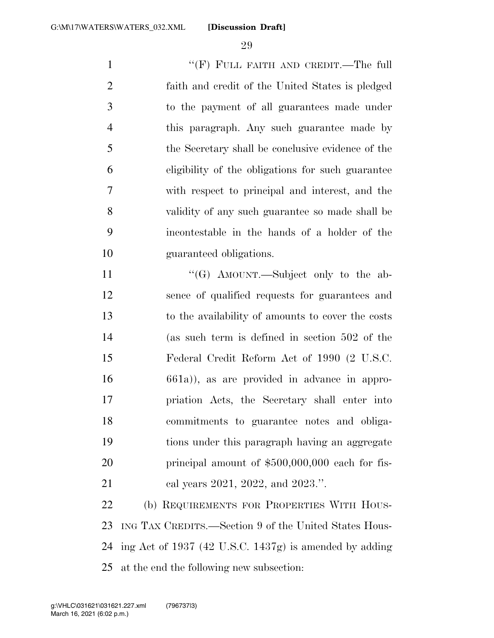1 "'(F) FULL FAITH AND CREDIT.—The full faith and credit of the United States is pledged to the payment of all guarantees made under this paragraph. Any such guarantee made by the Secretary shall be conclusive evidence of the eligibility of the obligations for such guarantee with respect to principal and interest, and the validity of any such guarantee so made shall be incontestable in the hands of a holder of the guaranteed obligations.

11 ""(G) AMOUNT.—Subject only to the ab- sence of qualified requests for guarantees and to the availability of amounts to cover the costs (as such term is defined in section 502 of the Federal Credit Reform Act of 1990 (2 U.S.C. 661a)), as are provided in advance in appro- priation Acts, the Secretary shall enter into commitments to guarantee notes and obliga- tions under this paragraph having an aggregate 20 principal amount of \$500,000,000 each for fis-21 cal years 2021, 2022, and 2023.".

 (b) REQUIREMENTS FOR PROPERTIES WITH HOUS- ING TAX CREDITS.—Section 9 of the United States Hous- ing Act of 1937 (42 U.S.C. 1437g) is amended by adding at the end the following new subsection: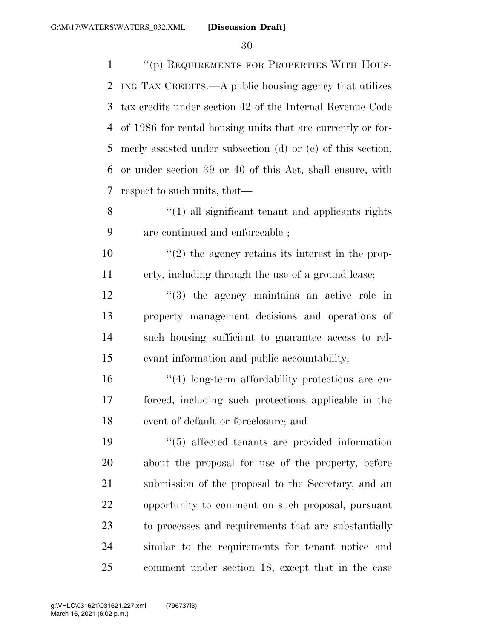''(p) REQUIREMENTS FOR PROPERTIES WITH HOUS- ING TAX CREDITS.—A public housing agency that utilizes tax credits under section 42 of the Internal Revenue Code of 1986 for rental housing units that are currently or for- merly assisted under subsection (d) or (e) of this section, or under section 39 or 40 of this Act, shall ensure, with respect to such units, that— 8 ''(1) all significant tenant and applicants rights are continued and enforceable ;  $\frac{10}{2}$  the agency retains its interest in the prop- erty, including through the use of a ground lease; 12 ''(3) the agency maintains an active role in property management decisions and operations of such housing sufficient to guarantee access to rel-

evant information and public accountability;

 ''(4) long-term affordability protections are en- forced, including such protections applicable in the event of default or foreclosure; and

 ''(5) affected tenants are provided information about the proposal for use of the property, before submission of the proposal to the Secretary, and an opportunity to comment on such proposal, pursuant to processes and requirements that are substantially similar to the requirements for tenant notice and comment under section 18, except that in the case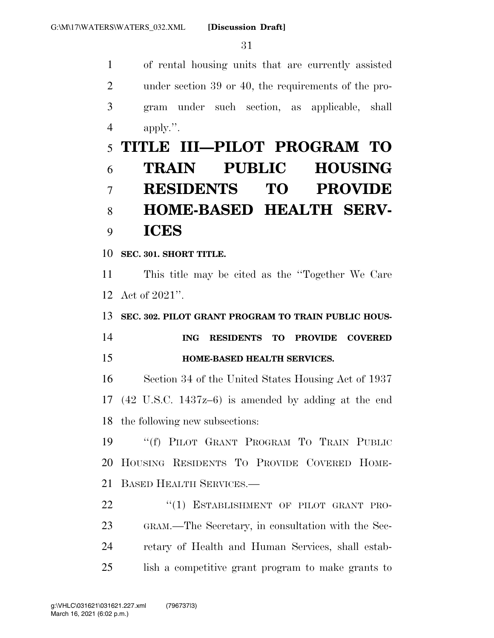of rental housing units that are currently assisted under section 39 or 40, the requirements of the pro- gram under such section, as applicable, shall apply.''.

## **TITLE III—PILOT PROGRAM TO TRAIN PUBLIC HOUSING RESIDENTS TO PROVIDE HOME-BASED HEALTH SERV-ICES**

**SEC. 301. SHORT TITLE.** 

 This title may be cited as the ''Together We Care Act of 2021''.

**SEC. 302. PILOT GRANT PROGRAM TO TRAIN PUBLIC HOUS-**

 **ING RESIDENTS TO PROVIDE COVERED HOME-BASED HEALTH SERVICES.** 

 Section 34 of the United States Housing Act of 1937 (42 U.S.C. 1437z–6) is amended by adding at the end the following new subsections:

 ''(f) PILOT GRANT PROGRAM TO TRAIN PUBLIC HOUSING RESIDENTS TO PROVIDE COVERED HOME-BASED HEALTH SERVICES.—

22 "(1) ESTABLISHMENT OF PILOT GRANT PRO- GRAM.—The Secretary, in consultation with the Sec- retary of Health and Human Services, shall estab-lish a competitive grant program to make grants to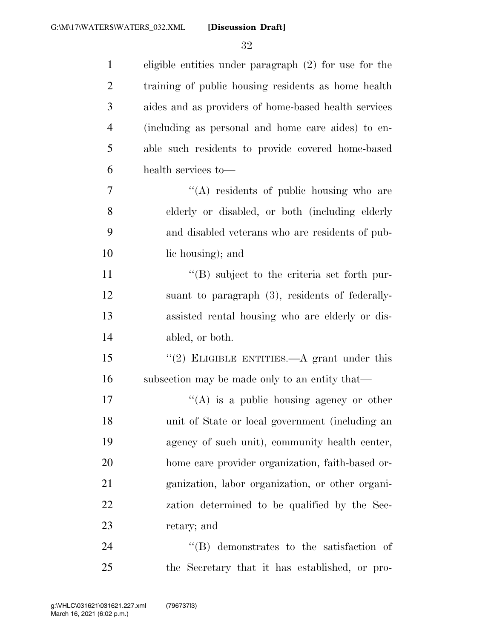| $\mathbf{1}$   | eligible entities under paragraph (2) for use for the |
|----------------|-------------------------------------------------------|
| $\overline{2}$ | training of public housing residents as home health   |
| 3              | aides and as providers of home-based health services  |
| $\overline{4}$ | (including as personal and home care aides) to en-    |
| 5              | able such residents to provide covered home-based     |
| 6              | health services to-                                   |
| 7              | $\lq\lq$ residents of public housing who are          |
| 8              | elderly or disabled, or both (including elderly       |
| 9              | and disabled veterans who are residents of pub-       |
| 10             | lic housing); and                                     |
| 11             | $\lq\lq$ subject to the criteria set forth pur-       |
| 12             | suant to paragraph (3), residents of federally-       |
| 13             | assisted rental housing who are elderly or dis-       |
| 14             | abled, or both.                                       |
| 15             | "(2) ELIGIBLE ENTITIES.—A grant under this            |
| 16             | subsection may be made only to an entity that—        |
| 17             | $\lq\lq(A)$ is a public housing agency or other       |
| 18             | unit of State or local government (including an       |
| 19             | agency of such unit), community health center,        |
| 20             | home care provider organization, faith-based or-      |
| 21             | ganization, labor organization, or other organi-      |
| 22             | zation determined to be qualified by the Sec-         |
| 23             | retary; and                                           |
| 24             | $\lq\lq$ demonstrates to the satisfaction of          |
| 25             | the Secretary that it has established, or pro-        |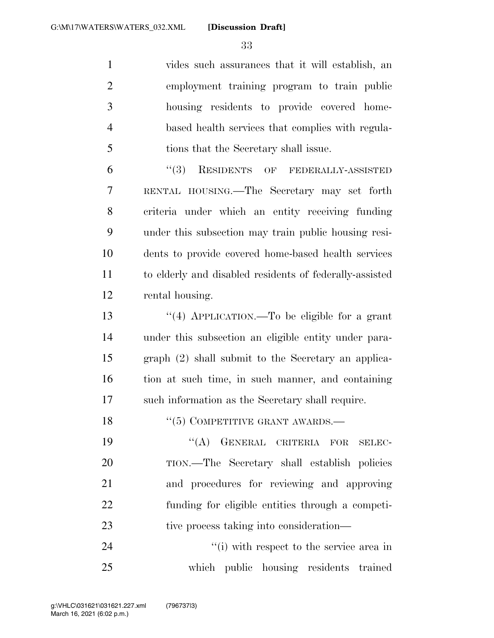vides such assurances that it will establish, an employment training program to train public housing residents to provide covered home- based health services that complies with regula-tions that the Secretary shall issue.

 ''(3) RESIDENTS OF FEDERALLY-ASSISTED RENTAL HOUSING.—The Secretary may set forth criteria under which an entity receiving funding under this subsection may train public housing resi- dents to provide covered home-based health services to elderly and disabled residents of federally-assisted rental housing.

 ''(4) APPLICATION.—To be eligible for a grant under this subsection an eligible entity under para- graph (2) shall submit to the Secretary an applica- tion at such time, in such manner, and containing such information as the Secretary shall require.

''(5) COMPETITIVE GRANT AWARDS.—

19 "(A) GENERAL CRITERIA FOR SELEC- TION.—The Secretary shall establish policies and procedures for reviewing and approving funding for eligible entities through a competi-23 tive process taking into consideration—

24 ''(i) with respect to the service area in which public housing residents trained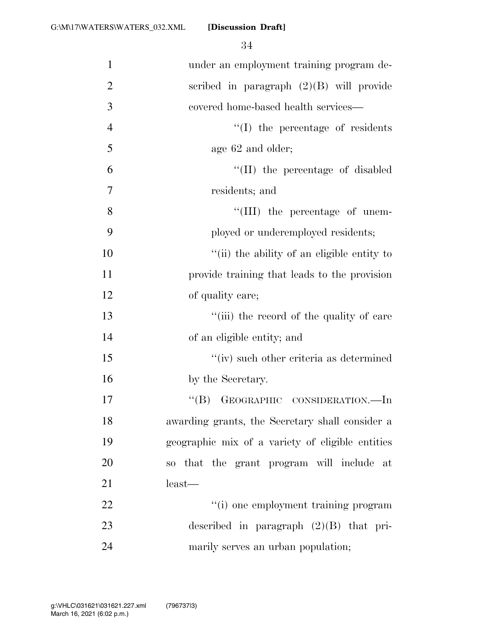| $\mathbf{1}$   | under an employment training program de-         |
|----------------|--------------------------------------------------|
| $\overline{2}$ | scribed in paragraph $(2)(B)$ will provide       |
| 3              | covered home-based health services—              |
| $\overline{4}$ | $\lq\lq$ (I) the percentage of residents         |
| 5              | age 62 and older;                                |
| 6              | "(II) the percentage of disabled                 |
| 7              | residents; and                                   |
| 8              | $\lq\lq$ (III) the percentage of unem-           |
| 9              | ployed or underemployed residents;               |
| 10             | "(ii) the ability of an eligible entity to       |
| 11             | provide training that leads to the provision     |
| 12             | of quality care;                                 |
| 13             | "(iii) the record of the quality of care         |
| 14             | of an eligible entity; and                       |
| 15             | "(iv) such other criteria as determined          |
| 16             | by the Secretary.                                |
| 17             | GEOGRAPHIC CONSIDERATION.-In<br>$\lq\lq (B)$     |
| 18             | awarding grants, the Secretary shall consider a  |
| 19             | geographic mix of a variety of eligible entities |
| 20             | so that the grant program will include at        |
| 21             | $least$ —                                        |
| 22             | "(i) one employment training program             |
| 23             | described in paragraph $(2)(B)$ that pri-        |
| 24             | marily serves an urban population;               |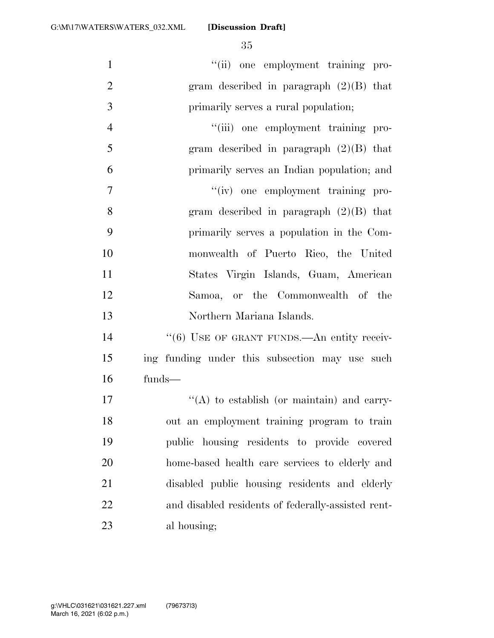| $\mathbf{1}$   | "(ii) one employment training pro-                     |
|----------------|--------------------------------------------------------|
| $\overline{2}$ | gram described in paragraph $(2)(B)$ that              |
| 3              | primarily serves a rural population;                   |
| $\overline{4}$ | "(iii) one employment training pro-                    |
| 5              | gram described in paragraph $(2)(B)$ that              |
| 6              | primarily serves an Indian population; and             |
| $\overline{7}$ | "(iv) one employment training pro-                     |
| 8              | gram described in paragraph $(2)(B)$ that              |
| 9              | primarily serves a population in the Com-              |
| 10             | monwealth of Puerto Rico, the United                   |
| 11             | States Virgin Islands, Guam, American                  |
| 12             | Samoa, or the Commonwealth of the                      |
| 13             | Northern Mariana Islands.                              |
| 14             | $\cdot\cdot$ (6) USE OF GRANT FUNDS.—An entity receiv- |
| 15             | ing funding under this subsection may use such         |
| 16             | funds-                                                 |
| 17             | $\lq\lq$ to establish (or maintain) and carry-         |
| 18             | out an employment training program to train            |
| 19             | public housing residents to provide covered            |
| 20             | home-based health care services to elderly and         |
| 21             | disabled public housing residents and elderly          |
| 22             | and disabled residents of federally-assisted rent-     |
| 23             | al housing;                                            |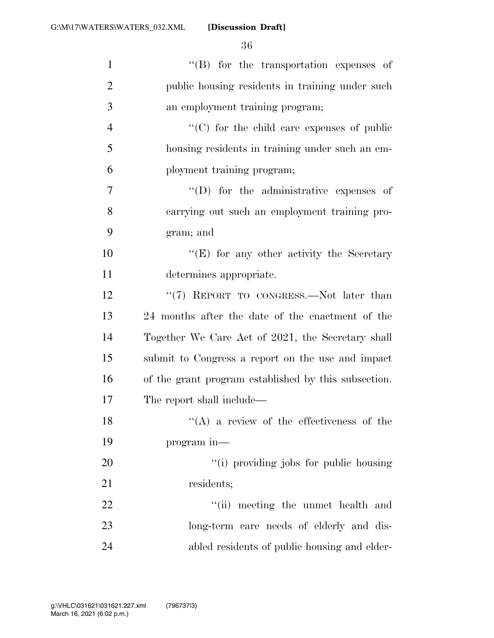| $\mathbf{1}$   | $\lq\lq$ for the transportation expenses of          |
|----------------|------------------------------------------------------|
| $\overline{2}$ | public housing residents in training under such      |
| 3              | an employment training program;                      |
| $\overline{4}$ | "(C) for the child care expenses of public           |
| 5              | housing residents in training under such an em-      |
| 6              | ployment training program;                           |
| 7              | $\lq\lq$ for the administrative expenses of          |
| 8              | carrying out such an employment training pro-        |
| 9              | gram; and                                            |
| 10             | "(E) for any other activity the Secretary            |
| 11             | determines appropriate.                              |
| 12             | "(7) REPORT TO CONGRESS.—Not later than              |
| 13             | 24 months after the date of the enactment of the     |
| 14             | Together We Care Act of 2021, the Secretary shall    |
| 15             | submit to Congress a report on the use and impact    |
| 16             | of the grant program established by this subsection. |
| 17             | The report shall include—                            |
| 18             | $(4)$ a review of the effectiveness of the           |
| 19             | program in—                                          |
| 20             | "(i) providing jobs for public housing               |
| 21             | residents;                                           |
| 22             | "(ii) meeting the unmet health and                   |
| 23             | long-term care needs of elderly and dis-             |
| 24             | abled residents of public housing and elder-         |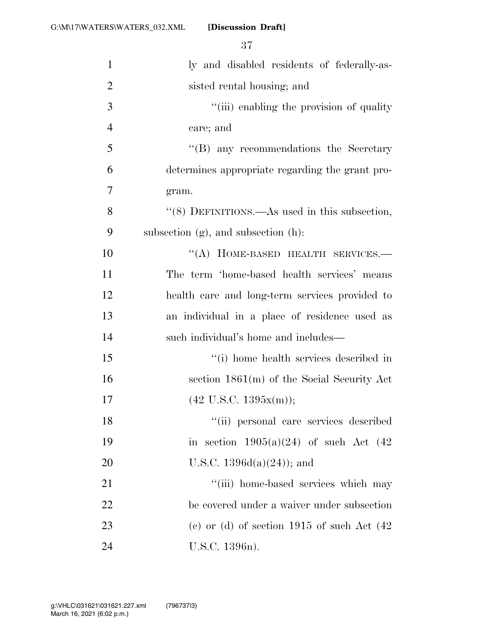| $\mathbf{1}$   | ly and disabled residents of federally-as-       |
|----------------|--------------------------------------------------|
| $\overline{2}$ | sisted rental housing; and                       |
| 3              | "(iii) enabling the provision of quality         |
| $\overline{4}$ | care; and                                        |
| 5              | "(B) any recommendations the Secretary           |
| 6              | determines appropriate regarding the grant pro-  |
| $\overline{7}$ | gram.                                            |
| 8              | $``(8)$ DEFINITIONS.—As used in this subsection, |
| 9              | subsection $(g)$ , and subsection $(h)$ :        |
| 10             | "(A) HOME-BASED HEALTH SERVICES.-                |
| 11             | The term 'home-based health services' means      |
| 12             | health care and long-term services provided to   |
| 13             | an individual in a place of residence used as    |
| 14             | such individual's home and includes—             |
| 15             | "(i) home health services described in           |
| 16             | section $1861(m)$ of the Social Security Act     |
| 17             | $(42 \text{ U.S.C. } 1395x(m));$                 |
| 18             | "(ii) personal care services described           |
| 19             | in section $1905(a)(24)$ of such Act $(42)$      |
| 20             | U.S.C. $1396d(a)(24)$ ; and                      |
| 21             | "(iii) home-based services which may             |
| 22             | be covered under a waiver under subsection       |
| 23             | (c) or (d) of section $1915$ of such Act $(42)$  |
| 24             | U.S.C. 1396n).                                   |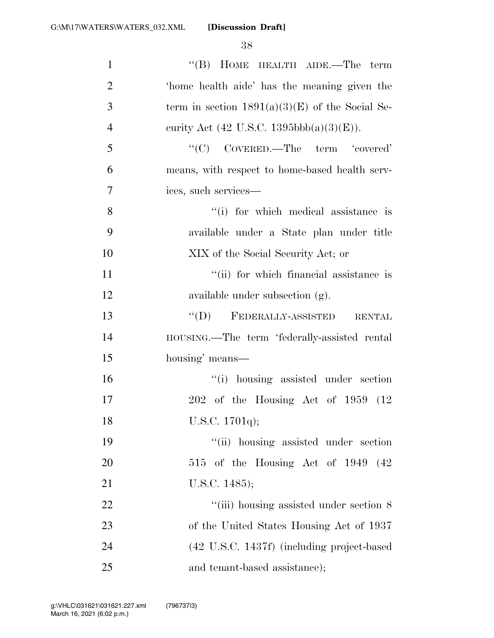| $\mathbf{1}$   | "(B) HOME HEALTH AIDE.—The term                         |
|----------------|---------------------------------------------------------|
| $\overline{2}$ | 'home health aide' has the meaning given the            |
| 3              | term in section $1891(a)(3)(E)$ of the Social Se-       |
| $\overline{4}$ | curity Act (42 U.S.C. 1395bbb(a)(3)(E)).                |
| 5              | "(C) $\text{CovERED}\text{.}-\text{The term}$ 'covered' |
| 6              | means, with respect to home-based health serv-          |
| 7              | ices, such services—                                    |
| 8              | "(i) for which medical assistance is                    |
| 9              | available under a State plan under title                |
| 10             | XIX of the Social Security Act; or                      |
| 11             | "(ii) for which financial assistance is                 |
| 12             | available under subsection (g).                         |
| 13             | $\lq\lq (D)$ FEDERALLY-ASSISTED<br><b>RENTAL</b>        |
| 14             | HOUSING.—The term 'federally-assisted rental            |
| 15             | housing' means—                                         |
| 16             | "(i) housing assisted under section                     |
| 17             | $202$ of the Housing Act of 1959 (12)                   |
| 18             | U.S.C. 1701q);                                          |
| 19             | "(ii) housing assisted under section                    |
| 20             | 515 of the Housing Act of 1949 (42)                     |
| 21             | U.S.C. 1485);                                           |
| 22             | "(iii) housing assisted under section 8                 |
| 23             | of the United States Housing Act of 1937                |
| 24             | (42 U.S.C. 1437f) (including project-based              |
| 25             | and tenant-based assistance);                           |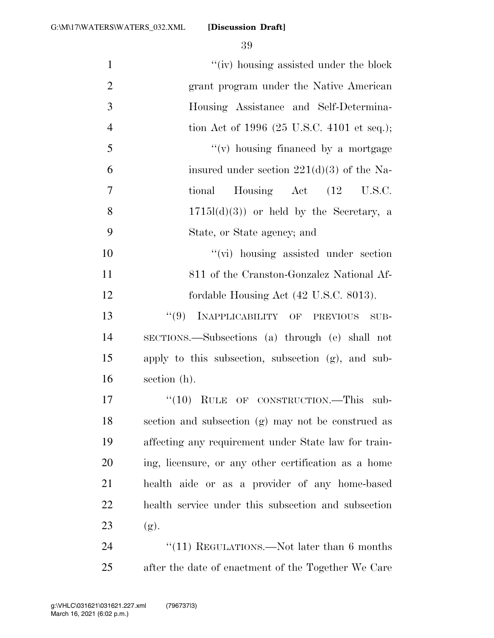| $\mathbf{1}$   | "(iv) housing assisted under the block               |
|----------------|------------------------------------------------------|
| $\overline{2}$ | grant program under the Native American              |
| $\mathfrak{Z}$ | Housing Assistance and Self-Determina-               |
| $\overline{4}$ | tion Act of 1996 (25 U.S.C. 4101 et seq.);           |
| 5              | $f'(v)$ housing financed by a mortgage               |
| 6              | insured under section $221(d)(3)$ of the Na-         |
| 7              | Housing $\det$ (12 U.S.C.<br>tional                  |
| 8              | $1715l(d)(3)$ or held by the Secretary, a            |
| 9              | State, or State agency; and                          |
| 10             | "(vi) housing assisted under section                 |
| 11             | 811 of the Cranston-Gonzalez National Af-            |
| 12             | fordable Housing Act (42 U.S.C. 8013).               |
| 13             | "(9) INAPPLICABILITY OF PREVIOUS<br>SUB-             |
| 14             | SECTIONS.—Subsections (a) through (e) shall not      |
| 15             | apply to this subsection, subsection (g), and sub-   |
| 16             | section (h).                                         |
| 17             | OF CONSTRUCTION.—This sub-<br>$``(10)$ RULE          |
| 18             | section and subsection (g) may not be construed as   |
| 19             | affecting any requirement under State law for train- |
| 20             | ing, licensure, or any other certification as a home |
| 21             | health aide or as a provider of any home-based       |
| 22             | health service under this subsection and subsection  |
| 23             | (g).                                                 |
| 24             | "(11) REGULATIONS.—Not later than $6$ months         |
| 25             | after the date of enactment of the Together We Care  |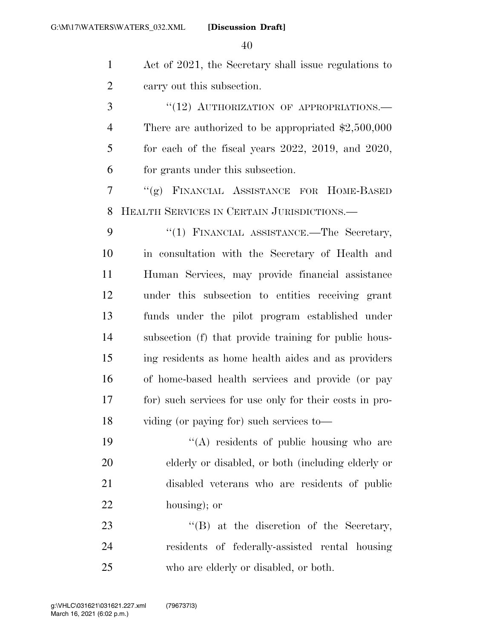Act of 2021, the Secretary shall issue regulations to carry out this subsection.

3 "(12) AUTHORIZATION OF APPROPRIATIONS.— There are authorized to be appropriated \$2,500,000 for each of the fiscal years 2022, 2019, and 2020, for grants under this subsection.

 ''(g) FINANCIAL ASSISTANCE FOR HOME-BASED HEALTH SERVICES IN CERTAIN JURISDICTIONS.—

9 "(1) FINANCIAL ASSISTANCE.—The Secretary, in consultation with the Secretary of Health and Human Services, may provide financial assistance under this subsection to entities receiving grant funds under the pilot program established under subsection (f) that provide training for public hous- ing residents as home health aides and as providers of home-based health services and provide (or pay for) such services for use only for their costs in pro-viding (or paying for) such services to—

 $((A)$  residents of public housing who are elderly or disabled, or both (including elderly or disabled veterans who are residents of public housing); or

23 ''(B) at the discretion of the Secretary, residents of federally-assisted rental housing who are elderly or disabled, or both.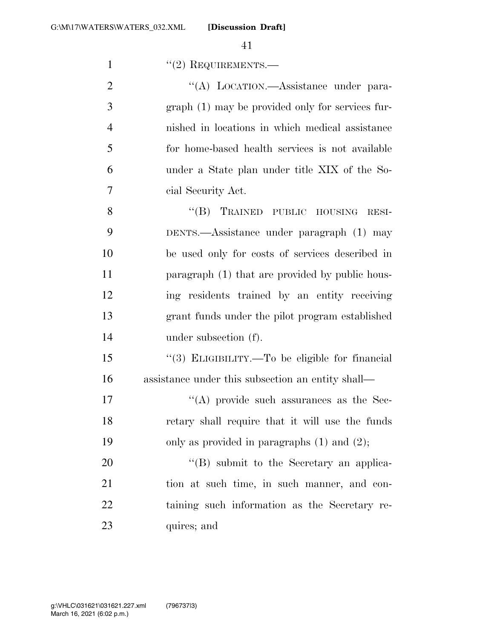| $\mathbf{1}$   | $"(2)$ REQUIREMENTS.—                             |
|----------------|---------------------------------------------------|
| $\overline{2}$ | "(A) LOCATION.—Assistance under para-             |
| 3              | graph (1) may be provided only for services fur-  |
| $\overline{4}$ | nished in locations in which medical assistance   |
| 5              | for home-based health services is not available   |
| 6              | under a State plan under title XIX of the So-     |
| $\overline{7}$ | cial Security Act.                                |
| 8              | "(B) TRAINED PUBLIC HOUSING<br>RESI-              |
| 9              | DENTS.—Assistance under paragraph (1) may         |
| 10             | be used only for costs of services described in   |
| 11             | paragraph (1) that are provided by public hous-   |
| 12             | ing residents trained by an entity receiving      |
| 13             | grant funds under the pilot program established   |
| 14             | under subsection (f).                             |
| 15             | "(3) ELIGIBILITY.—To be eligible for financial    |
| 16             | assistance under this subsection an entity shall— |
| 17             | $\cdot$ (A) provide such assurances as the Sec-   |
| 18             | retary shall require that it will use the funds   |
| 19             | only as provided in paragraphs $(1)$ and $(2)$ ;  |
| 20             | "(B) submit to the Secretary an applica-          |
| 21             | tion at such time, in such manner, and con-       |
| 22             | taining such information as the Secretary re-     |
| 23             | quires; and                                       |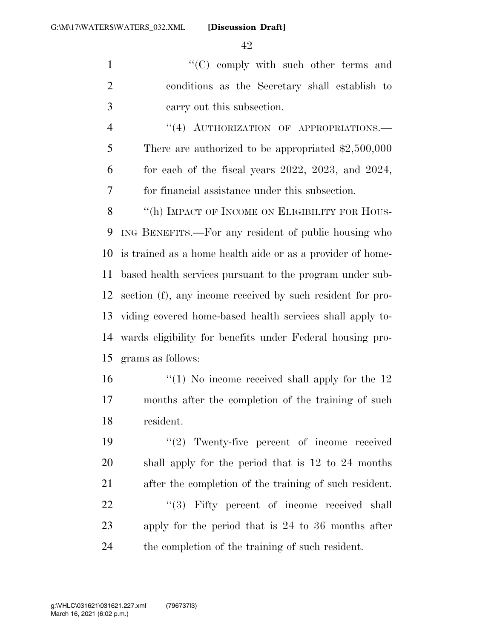''(C) comply with such other terms and conditions as the Secretary shall establish to carry out this subsection.

4 "(4) AUTHORIZATION OF APPROPRIATIONS. There are authorized to be appropriated \$2,500,000 for each of the fiscal years 2022, 2023, and 2024, for financial assistance under this subsection.

8 "(h) IMPACT OF INCOME ON ELIGIBILITY FOR HOUS- ING BENEFITS.—For any resident of public housing who is trained as a home health aide or as a provider of home- based health services pursuant to the program under sub- section (f), any income received by such resident for pro- viding covered home-based health services shall apply to- wards eligibility for benefits under Federal housing pro-grams as follows:

 ''(1) No income received shall apply for the 12 months after the completion of the training of such resident.

 $\frac{1}{2}$  Twenty-five percent of income received shall apply for the period that is 12 to 24 months after the completion of the training of such resident. 22 ''(3) Fifty percent of income received shall apply for the period that is 24 to 36 months after

the completion of the training of such resident.